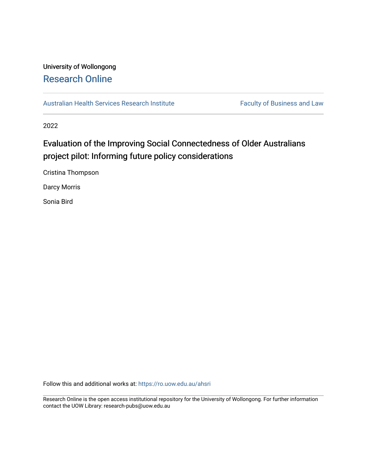### University of Wollongong [Research Online](https://ro.uow.edu.au/)

[Australian Health Services Research Institute](https://ro.uow.edu.au/ahsri) Faculty of Business and Law

2022

## Evaluation of the Improving Social Connectedness of Older Australians project pilot: Informing future policy considerations

Cristina Thompson

Darcy Morris

Sonia Bird

Follow this and additional works at: [https://ro.uow.edu.au/ahsri](https://ro.uow.edu.au/ahsri?utm_source=ro.uow.edu.au%2Fahsri%2F1152&utm_medium=PDF&utm_campaign=PDFCoverPages) 

Research Online is the open access institutional repository for the University of Wollongong. For further information contact the UOW Library: research-pubs@uow.edu.au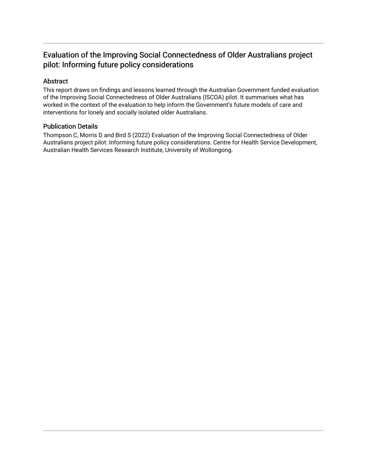#### Evaluation of the Improving Social Connectedness of Older Australians project pilot: Informing future policy considerations

#### Abstract

This report draws on findings and lessons learned through the Australian Government funded evaluation of the Improving Social Connectedness of Older Australians (ISCOA) pilot. It summarises what has worked in the context of the evaluation to help inform the Government's future models of care and interventions for lonely and socially isolated older Australians.

#### Publication Details

Thompson C, Morris D and Bird S (2022) Evaluation of the Improving Social Connectedness of Older Australians project pilot: Informing future policy considerations. Centre for Health Service Development, Australian Health Services Research Institute, University of Wollongong.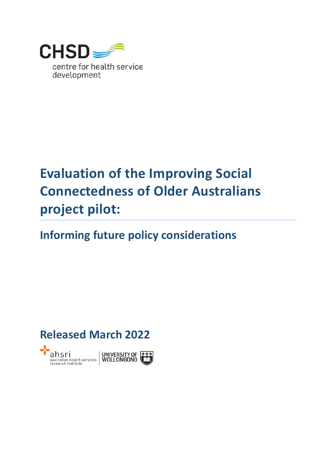

# **Evaluation of the Improving Social Connectedness of Older Australians project pilot:**

# **Informing future policy considerations**

## **Released March 2022**

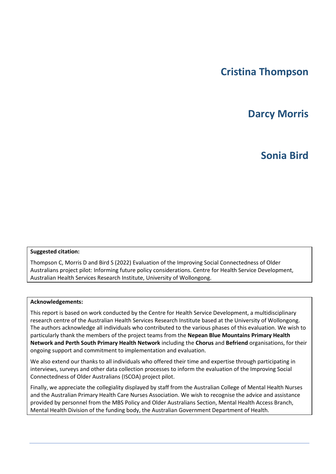## **Cristina Thompson**

## **Darcy Morris**

## **Sonia Bird**

#### **Suggested citation:**

Thompson C, Morris D and Bird S (2022) Evaluation of the Improving Social Connectedness of Older Australians project pilot: Informing future policy considerations. Centre for Health Service Development, Australian Health Services Research Institute, University of Wollongong.

#### **Acknowledgements:**

This report is based on work conducted by the Centre for Health Service Development, a multidisciplinary research centre of the Australian Health Services Research Institute based at the University of Wollongong. The authors acknowledge all individuals who contributed to the various phases of this evaluation. We wish to particularly thank the members of the project teams from the **Nepean Blue Mountains Primary Health Network and Perth South Primary Health Network** including the **Chorus** and **Befriend** organisations, for their ongoing support and commitment to implementation and evaluation.

We also extend our thanks to all individuals who offered their time and expertise through participating in interviews, surveys and other data collection processes to inform the evaluation of the Improving Social Connectedness of Older Australians (ISCOA) project pilot.

Finally, we appreciate the collegiality displayed by staff from the Australian College of Mental Health Nurses and the Australian Primary Health Care Nurses Association. We wish to recognise the advice and assistance provided by personnel from the MBS Policy and Older Australians Section, Mental Health Access Branch, Mental Health Division of the funding body, the Australian Government Department of Health.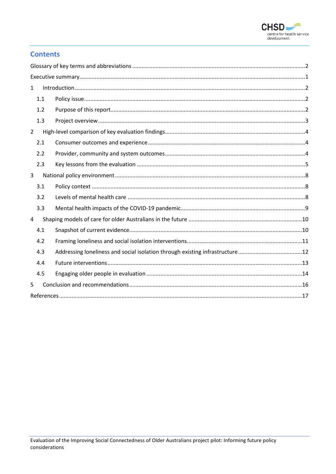

#### **Contents**

| $\mathbf{1}$   |  |  |
|----------------|--|--|
| 1.1            |  |  |
| 1.2            |  |  |
| 1.3            |  |  |
| $\overline{2}$ |  |  |
| 2.1            |  |  |
| 2.2            |  |  |
| 2.3            |  |  |
| 3              |  |  |
| 3.1            |  |  |
| 3.2            |  |  |
| 3.3            |  |  |
| 4              |  |  |
| 4.1            |  |  |
| 4.2            |  |  |
| 4.3            |  |  |
| 4.4            |  |  |
| 4.5            |  |  |
| 5              |  |  |
|                |  |  |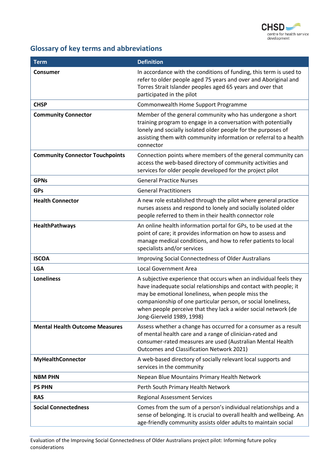

## <span id="page-5-0"></span>**Glossary of key terms and abbreviations**

| <b>Term</b>                            | <b>Definition</b>                                                                                                                                                                                                                                                                                                                                          |
|----------------------------------------|------------------------------------------------------------------------------------------------------------------------------------------------------------------------------------------------------------------------------------------------------------------------------------------------------------------------------------------------------------|
| <b>Consumer</b>                        | In accordance with the conditions of funding, this term is used to<br>refer to older people aged 75 years and over and Aboriginal and<br>Torres Strait Islander peoples aged 65 years and over that<br>participated in the pilot                                                                                                                           |
| <b>CHSP</b>                            | Commonwealth Home Support Programme                                                                                                                                                                                                                                                                                                                        |
| <b>Community Connector</b>             | Member of the general community who has undergone a short<br>training program to engage in a conversation with potentially<br>lonely and socially isolated older people for the purposes of<br>assisting them with community information or referral to a health<br>connector                                                                              |
| <b>Community Connector Touchpoints</b> | Connection points where members of the general community can<br>access the web-based directory of community activities and<br>services for older people developed for the project pilot                                                                                                                                                                    |
| <b>GPNs</b>                            | <b>General Practice Nurses</b>                                                                                                                                                                                                                                                                                                                             |
| <b>GPs</b>                             | <b>General Practitioners</b>                                                                                                                                                                                                                                                                                                                               |
| <b>Health Connector</b>                | A new role established through the pilot where general practice<br>nurses assess and respond to lonely and socially isolated older<br>people referred to them in their health connector role                                                                                                                                                               |
| HealthPathways                         | An online health information portal for GPs, to be used at the<br>point of care; it provides information on how to assess and<br>manage medical conditions, and how to refer patients to local<br>specialists and/or services                                                                                                                              |
| <b>ISCOA</b>                           | Improving Social Connectedness of Older Australians                                                                                                                                                                                                                                                                                                        |
| <b>LGA</b>                             | <b>Local Government Area</b>                                                                                                                                                                                                                                                                                                                               |
| <b>Loneliness</b>                      | A subjective experience that occurs when an individual feels they<br>have inadequate social relationships and contact with people; it<br>may be emotional loneliness, when people miss the<br>companionship of one particular person, or social loneliness,<br>when people perceive that they lack a wider social network (de<br>Jong-Gierveld 1989, 1998) |
| <b>Mental Health Outcome Measures</b>  | Assess whether a change has occurred for a consumer as a result<br>of mental health care and a range of clinician-rated and<br>consumer-rated measures are used (Australian Mental Health<br><b>Outcomes and Classification Network 2021)</b>                                                                                                              |
| <b>MyHealthConnector</b>               | A web-based directory of socially relevant local supports and<br>services in the community                                                                                                                                                                                                                                                                 |
| <b>NBM PHN</b>                         | Nepean Blue Mountains Primary Health Network                                                                                                                                                                                                                                                                                                               |
| <b>PS PHN</b>                          | Perth South Primary Health Network                                                                                                                                                                                                                                                                                                                         |
| <b>RAS</b>                             | <b>Regional Assessment Services</b>                                                                                                                                                                                                                                                                                                                        |
| <b>Social Connectedness</b>            | Comes from the sum of a person's individual relationships and a<br>sense of belonging. It is crucial to overall health and wellbeing. An<br>age-friendly community assists older adults to maintain social                                                                                                                                                 |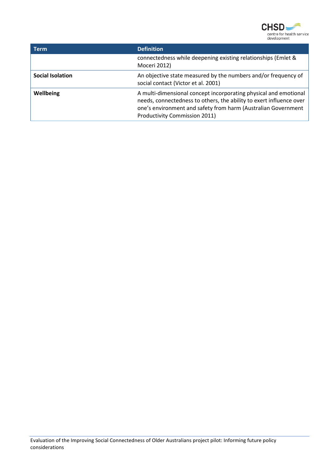

| - Term                  | <b>Definition</b>                                                                                                                                                                                                                         |
|-------------------------|-------------------------------------------------------------------------------------------------------------------------------------------------------------------------------------------------------------------------------------------|
|                         | connectedness while deepening existing relationships (Emlet &<br>Moceri 2012)                                                                                                                                                             |
| <b>Social Isolation</b> | An objective state measured by the numbers and/or frequency of<br>social contact (Victor et al. 2001)                                                                                                                                     |
| Wellbeing               | A multi-dimensional concept incorporating physical and emotional<br>needs, connectedness to others, the ability to exert influence over<br>one's environment and safety from harm (Australian Government<br>Productivity Commission 2011) |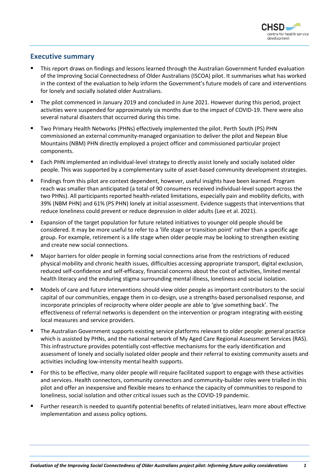

#### <span id="page-7-0"></span>**Executive summary**

- This report draws on findings and lessons learned through the Australian Government funded evaluation of the Improving Social Connectedness of Older Australians (ISCOA) pilot. It summarises what has worked in the context of the evaluation to help inform the Government's future models of care and interventions for lonely and socially isolated older Australians.
- The pilot commenced in January 2019 and concluded in June 2021. However during this period, project activities were suspended for approximately six months due to the impact of COVID-19. There were also several natural disasters that occurred during this time.
- Two Primary Health Networks (PHNs) effectively implemented the pilot. Perth South (PS) PHN commissioned an external community-managed organisation to deliver the pilot and Nepean Blue Mountains (NBM) PHN directly employed a project officer and commissioned particular project components.
- Each PHN implemented an individual-level strategy to directly assist lonely and socially isolated older people. This was supported by a complementary suite of asset-based community development strategies.
- Findings from this pilot are context dependent, however, useful insights have been learned. Program reach was smaller than anticipated (a total of 90 consumers received individual-level support across the two PHNs). All participants reported health-related limitations, especially pain and mobility deficits, with 39% (NBM PHN) and 61% (PS PHN) lonely at initial assessment. Evidence suggests that interventions that reduce loneliness could prevent or reduce depression in older adults (Lee et al. 2021).
- Expansion of the target population for future related initiatives to younger old people should be considered. It may be more useful to refer to a 'life stage or transition point' rather than a specific age group. For example, retirement is a life stage when older people may be looking to strengthen existing and create new social connections.
- Major barriers for older people in forming social connections arise from the restrictions of reduced physical mobility and chronic health issues, difficulties accessing appropriate transport, digital exclusion, reduced self-confidence and self-efficacy, financial concerns about the cost of activities, limited mental health literacy and the enduring stigma surrounding mental illness, loneliness and social isolation.
- Models of care and future interventions should view older people as important contributors to the social capital of our communities, engage them in co-design, use a strengths-based personalised response, and incorporate principles of reciprocity where older people are able to 'give something back'. The effectiveness of referral networks is dependent on the intervention or program integrating with existing local measures and service providers.
- The Australian Government supports existing service platforms relevant to older people: general practice which is assisted by PHNs, and the national network of My Aged Care Regional Assessment Services (RAS). This infrastructure provides potentially cost-effective mechanisms for the early identification and assessment of lonely and socially isolated older people and their referral to existing community assets and activities including low-intensity mental health supports.
- For this to be effective, many older people will require facilitated support to engage with these activities and services. Health connectors, community connectors and community-builder roles were trialled in this pilot and offer an inexpensive and flexible means to enhance the capacity of communities to respond to loneliness, social isolation and other critical issues such as the COVID-19 pandemic.
- Further research is needed to quantify potential benefits of related initiatives, learn more about effective implementation and assess policy options.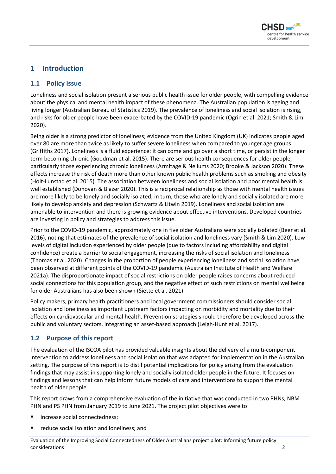

#### <span id="page-8-0"></span>**1 Introduction**

#### <span id="page-8-1"></span>**1.1 Policy issue**

Loneliness and social isolation present a serious public health issue for older people, with compelling evidence about the physical and mental health impact of these phenomena. The Australian population is ageing and living longer (Australian Bureau of Statistics 2019). The prevalence of loneliness and social isolation is rising, and risks for older people have been exacerbated by the COVID-19 pandemic (Ogrin et al. 2021; Smith & Lim 2020).

Being older is a strong predictor of loneliness; evidence from the United Kingdom (UK) indicates people aged over 80 are more than twice as likely to suffer severe loneliness when compared to younger age groups (Griffiths 2017). Loneliness is a fluid experience: it can come and go over a short time, or persist in the longer term becoming chronic (Goodman et al. 2015). There are serious health consequences for older people, particularly those experiencing chronic loneliness (Armitage & Nellums 2020; Brooke & Jackson 2020). These effects increase the risk of death more than other known public health problems such as smoking and obesity (Holt-Lunstad et al. 2015). The association between loneliness and social isolation and poor mental health is well established (Donovan & Blazer 2020). This is a reciprocal relationship as those with mental health issues are more likely to be lonely and socially isolated; in turn, those who are lonely and socially isolated are more likely to develop anxiety and depression (Schwartz & Litwin 2019). Loneliness and social isolation are amenable to intervention and there is growing evidence about effective interventions. Developed countries are investing in policy and strategies to address this issue.

Prior to the COVID-19 pandemic, approximately one in five older Australians were socially isolated (Beer et al. 2016), noting that estimates of the prevalence of social isolation and loneliness vary (Smith & Lim 2020). Low levels of digital inclusion experienced by older people (due to factors including affordability and digital confidence) create a barrier to social engagement, increasing the risks of social isolation and loneliness (Thomas et al. 2020). Changes in the proportion of people experiencing loneliness and social isolation have been observed at different points of the COVID-19 pandemic (Australian Institute of Health and Welfare 2021a). The disproportionate impact of social restrictions on older people raises concerns about reduced social connections for this population group, and the negative effect of such restrictions on mental wellbeing for older Australians has also been shown (Siette et al. 2021).

Policy makers, primary health practitioners and local government commissioners should consider social isolation and loneliness as important upstream factors impacting on morbidity and mortality due to their effects on cardiovascular and mental health. Prevention strategies should therefore be developed across the public and voluntary sectors, integrating an asset-based approach (Leigh-Hunt et al. 2017).

#### <span id="page-8-2"></span>**1.2 Purpose of this report**

The evaluation of the ISCOA pilot has provided valuable insights about the delivery of a multi-component intervention to address loneliness and social isolation that was adapted for implementation in the Australian setting. The purpose of this report is to distil potential implications for policy arising from the evaluation findings that may assist in supporting lonely and socially isolated older people in the future. It focuses on findings and lessons that can help inform future models of care and interventions to support the mental health of older people.

This report draws from a comprehensive evaluation of the initiative that was conducted in two PHNs, NBM PHN and PS PHN from January 2019 to June 2021. The project pilot objectives were to:

- increase social connectedness;
- reduce social isolation and loneliness; and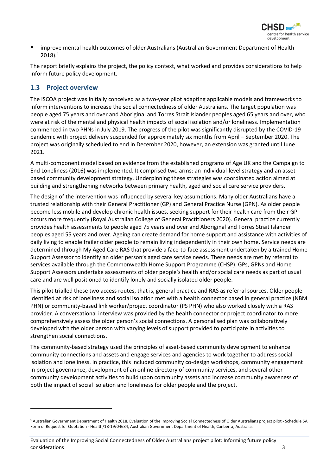

 improve mental health outcomes of older Australians (Australian Government Department of Health 2018).[1](#page-9-1)

The report briefly explains the project, the policy context, what worked and provides considerations to help inform future policy development.

#### <span id="page-9-0"></span>**1.3 Project overview**

The ISCOA project was initially conceived as a two-year pilot adapting applicable models and frameworks to inform interventions to increase the social connectedness of older Australians. The target population was people aged 75 years and over and Aboriginal and Torres Strait Islander peoples aged 65 years and over, who were at risk of the mental and physical health impacts of social isolation and/or loneliness. Implementation commenced in two PHNs in July 2019. The progress of the pilot was significantly disrupted by the COVID-19 pandemic with project delivery suspended for approximately six months from April – September 2020. The project was originally scheduled to end in December 2020, however, an extension was granted until June 2021.

A multi-component model based on evidence from the established programs of Age UK and the Campaign to End Loneliness (2016) was implemented. It comprised two arms: an individual-level strategy and an assetbased community development strategy. Underpinning these strategies was coordinated action aimed at building and strengthening networks between primary health, aged and social care service providers.

The design of the intervention was influenced by several key assumptions. Many older Australians have a trusted relationship with their General Practitioner (GP) and General Practice Nurse (GPN). As older people become less mobile and develop chronic health issues, seeking support for their health care from their GP occurs more frequently (Royal Australian College of General Practitioners 2020). General practice currently provides health assessments to people aged 75 years and over and Aboriginal and Torres Strait Islander peoples aged 55 years and over. Ageing can create demand for home support and assistance with activities of daily living to enable frailer older people to remain living independently in their own home. Service needs are determined through My Aged Care RAS that provide a face-to-face assessment undertaken by a trained Home Support Assessor to identify an older person's aged care service needs. These needs are met by referral to services available through the Commonwealth Home Support Programme (CHSP). GPs, GPNs and Home Support Assessors undertake assessments of older people's health and/or social care needs as part of usual care and are well positioned to identify lonely and socially isolated older people.

This pilot trialled these two access routes, that is, general practice and RAS as referral sources. Older people identified at risk of loneliness and social isolation met with a health connector based in general practice (NBM PHN) or community-based link worker/project coordinator (PS PHN) who also worked closely with a RAS provider. A conversational interview was provided by the health connector or project coordinator to more comprehensively assess the older person's social connections. A personalised plan was collaboratively developed with the older person with varying levels of support provided to participate in activities to strengthen social connections.

The community-based strategy used the principles of asset-based community development to enhance community connections and assets and engage services and agencies to work together to address social isolation and loneliness. In practice, this included community co-design workshops, community engagement in project governance, development of an online directory of community services, and several other community development activities to build upon community assets and increase community awareness of both the impact of social isolation and loneliness for older people and the project.

<span id="page-9-1"></span><sup>1</sup> Australian Government Department of Health 2018, Evaluation of the Improving Social Connectedness of Older Australians project pilot - Schedule 5A Form of Request for Quotation - Health/18-19/04684, Australian Government Department of Health, Canberra, Australia.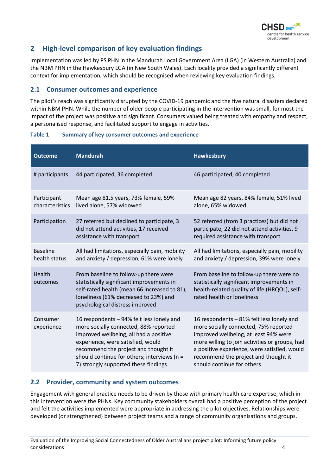

#### <span id="page-10-0"></span>**2 High-level comparison of key evaluation findings**

Implementation was led by PS PHN in the Mandurah Local Government Area (LGA) (in Western Australia) and the NBM PHN in the Hawkesbury LGA (in New South Wales). Each locality provided a significantly different context for implementation, which should be recognised when reviewing key evaluation findings.

#### <span id="page-10-1"></span>**2.1 Consumer outcomes and experience**

The pilot's reach was significantly disrupted by the COVID-19 pandemic and the five natural disasters declared within NBM PHN. While the number of older people participating in the intervention was small, for most the impact of the project was positive and significant. Consumers valued being treated with empathy and respect, a personalised response, and facilitated support to engage in activities.

# **Table 1 Summary of key consumer outcomes and experience**

| <b>Outcome</b>                   | <b>Mandurah</b>                                                                                                                                                                                                                                                                                  | <b>Hawkesbury</b>                                                                                                                                                                                                                                                                                   |
|----------------------------------|--------------------------------------------------------------------------------------------------------------------------------------------------------------------------------------------------------------------------------------------------------------------------------------------------|-----------------------------------------------------------------------------------------------------------------------------------------------------------------------------------------------------------------------------------------------------------------------------------------------------|
| # participants                   | 44 participated, 36 completed                                                                                                                                                                                                                                                                    | 46 participated, 40 completed                                                                                                                                                                                                                                                                       |
| Participant<br>characteristics   | Mean age 81.5 years, 73% female, 59%<br>lived alone, 57% widowed                                                                                                                                                                                                                                 | Mean age 82 years, 84% female, 51% lived<br>alone, 65% widowed                                                                                                                                                                                                                                      |
| Participation                    | 27 referred but declined to participate, 3<br>did not attend activities, 17 received<br>assistance with transport                                                                                                                                                                                | 52 referred (from 3 practices) but did not<br>participate, 22 did not attend activities, 9<br>required assistance with transport                                                                                                                                                                    |
| <b>Baseline</b><br>health status | All had limitations, especially pain, mobility<br>and anxiety / depression, 61% were lonely                                                                                                                                                                                                      | All had limitations, especially pain, mobility<br>and anxiety / depression, 39% were lonely                                                                                                                                                                                                         |
| <b>Health</b><br>outcomes        | From baseline to follow-up there were<br>statistically significant improvements in<br>self-rated health (mean 66 increased to 81),<br>loneliness (61% decreased to 23%) and<br>psychological distress improved                                                                                   | From baseline to follow-up there were no<br>statistically significant improvements in<br>health-related quality of life (HRQOL), self-<br>rated health or loneliness                                                                                                                                |
| Consumer<br>experience           | 16 respondents - 94% felt less lonely and<br>more socially connected, 88% reported<br>improved wellbeing, all had a positive<br>experience, were satisfied, would<br>recommend the project and thought it<br>should continue for others; interviews (n =<br>7) strongly supported these findings | 16 respondents - 81% felt less lonely and<br>more socially connected, 75% reported<br>improved wellbeing, at least 94% were<br>more willing to join activities or groups, had<br>a positive experience, were satisfied, would<br>recommend the project and thought it<br>should continue for others |

#### <span id="page-10-2"></span>**2.2 Provider, community and system outcomes**

Engagement with general practice needs to be driven by those with primary health care expertise, which in this intervention were the PHNs. Key community stakeholders overall had a positive perception of the project and felt the activities implemented were appropriate in addressing the pilot objectives. Relationships were developed (or strengthened) between project teams and a range of community organisations and groups.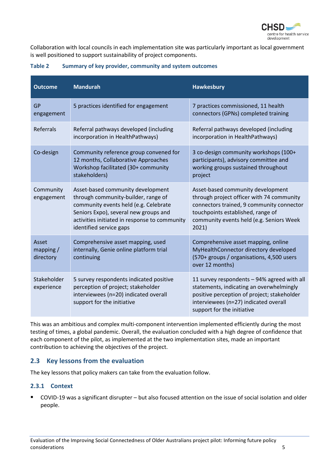

Collaboration with local councils in each implementation site was particularly important as local government is well positioned to support sustainability of project components.

| <b>Outcome</b>                    | <b>Mandurah</b>                                                                                                                                                                                                                        | <b>Hawkesbury</b>                                                                                                                                                                                                     |
|-----------------------------------|----------------------------------------------------------------------------------------------------------------------------------------------------------------------------------------------------------------------------------------|-----------------------------------------------------------------------------------------------------------------------------------------------------------------------------------------------------------------------|
| <b>GP</b><br>engagement           | 5 practices identified for engagement                                                                                                                                                                                                  | 7 practices commissioned, 11 health<br>connectors (GPNs) completed training                                                                                                                                           |
| <b>Referrals</b>                  | Referral pathways developed (including<br>incorporation in HealthPathways)                                                                                                                                                             | Referral pathways developed (including<br>incorporation in HealthPathways)                                                                                                                                            |
| Co-design                         | Community reference group convened for<br>12 months, Collaborative Approaches<br>Workshop facilitated (30+ community<br>stakeholders)                                                                                                  | 3 co-design community workshops (100+<br>participants), advisory committee and<br>working groups sustained throughout<br>project                                                                                      |
| Community<br>engagement           | Asset-based community development<br>through community-builder, range of<br>community events held (e.g. Celebrate<br>Seniors Expo), several new groups and<br>activities initiated in response to community<br>identified service gaps | Asset-based community development<br>through project officer with 74 community<br>connectors trained, 9 community connector<br>touchpoints established, range of<br>community events held (e.g. Seniors Week<br>2021) |
| Asset<br>mapping $/$<br>directory | Comprehensive asset mapping, used<br>internally, Genie online platform trial<br>continuing                                                                                                                                             | Comprehensive asset mapping, online<br>MyHealthConnector directory developed<br>(570+ groups / organisations, 4,500 users<br>over 12 months)                                                                          |
| Stakeholder<br>experience         | 5 survey respondents indicated positive<br>perception of project; stakeholder<br>interviewees (n=20) indicated overall<br>support for the initiative                                                                                   | 11 survey respondents - 94% agreed with all<br>statements, indicating an overwhelmingly<br>positive perception of project; stakeholder<br>interviewees (n=27) indicated overall<br>support for the initiative         |

#### **Table 2 Summary of key provider, community and system outcomes**

This was an ambitious and complex multi-component intervention implemented efficiently during the most testing of times, a global pandemic. Overall, the evaluation concluded with a high degree of confidence that each component of the pilot, as implemented at the two implementation sites, made an important contribution to achieving the objectives of the project.

#### <span id="page-11-0"></span>**2.3 Key lessons from the evaluation**

The key lessons that policy makers can take from the evaluation follow.

#### **2.3.1 Context**

 COVID-19 was a significant disrupter – but also focused attention on the issue of social isolation and older people.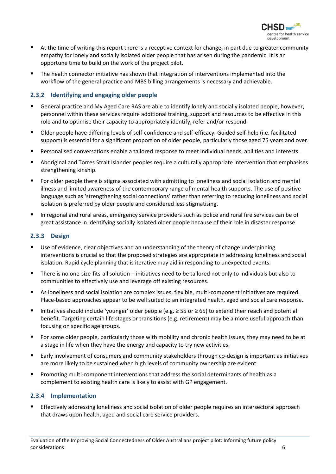

- At the time of writing this report there is a receptive context for change, in part due to greater community empathy for lonely and socially isolated older people that has arisen during the pandemic. It is an opportune time to build on the work of the project pilot.
- The health connector initiative has shown that integration of interventions implemented into the workflow of the general practice and MBS billing arrangements is necessary and achievable.

#### **2.3.2 Identifying and engaging older people**

- General practice and My Aged Care RAS are able to identify lonely and socially isolated people, however, personnel within these services require additional training, support and resources to be effective in this role and to optimise their capacity to appropriately identify, refer and/or respond.
- Older people have differing levels of self-confidence and self-efficacy. Guided self-help (i.e. facilitated support) is essential for a significant proportion of older people, particularly those aged 75 years and over.
- Personalised conversations enable a tailored response to meet individual needs, abilities and interests.
- Aboriginal and Torres Strait Islander peoples require a culturally appropriate intervention that emphasises strengthening kinship.
- For older people there is stigma associated with admitting to loneliness and social isolation and mental illness and limited awareness of the contemporary range of mental health supports. The use of positive language such as 'strengthening social connections' rather than referring to reducing loneliness and social isolation is preferred by older people and considered less stigmatising.
- In regional and rural areas, emergency service providers such as police and rural fire services can be of great assistance in identifying socially isolated older people because of their role in disaster response.

#### **2.3.3 Design**

- Use of evidence, clear objectives and an understanding of the theory of change underpinning interventions is crucial so that the proposed strategies are appropriate in addressing loneliness and social isolation. Rapid cycle planning that is iterative may aid in responding to unexpected events.
- There is no one-size-fits-all solution initiatives need to be tailored not only to individuals but also to communities to effectively use and leverage off existing resources.
- As loneliness and social isolation are complex issues, flexible, multi-component initiatives are required. Place-based approaches appear to be well suited to an integrated health, aged and social care response.
- Initiatives should include 'younger' older people (e.g. ≥ 55 or ≥ 65) to extend their reach and potential benefit. Targeting certain life stages or transitions (e.g. retirement) may be a more useful approach than focusing on specific age groups.
- For some older people, particularly those with mobility and chronic health issues, they may need to be at a stage in life when they have the energy and capacity to try new activities.
- Early involvement of consumers and community stakeholders through co-design is important as initiatives are more likely to be sustained when high levels of community ownership are evident.
- Promoting multi-component interventions that address the social determinants of health as a complement to existing health care is likely to assist with GP engagement.

#### **2.3.4 Implementation**

 Effectively addressing loneliness and social isolation of older people requires an intersectoral approach that draws upon health, aged and social care service providers.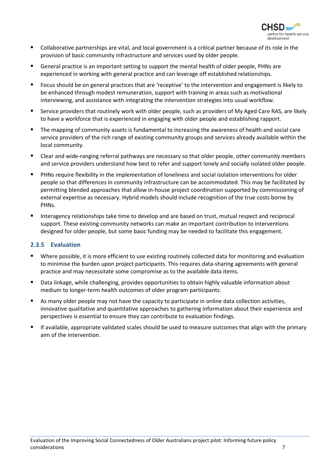

- Collaborative partnerships are vital, and local government is a critical partner because of its role in the provision of basic community infrastructure and services used by older people.
- General practice is an important setting to support the mental health of older people, PHNs are experienced in working with general practice and can leverage off established relationships.
- Focus should be on general practices that are 'receptive' to the intervention and engagement is likely to be enhanced through modest remuneration, support with training in areas such as motivational interviewing, and assistance with integrating the intervention strategies into usual workflow.
- Service providers that routinely work with older people, such as providers of My Aged Care RAS, are likely to have a workforce that is experienced in engaging with older people and establishing rapport.
- The mapping of community assets is fundamental to increasing the awareness of health and social care service providers of the rich range of existing community groups and services already available within the local community.
- Clear and wide-ranging referral pathways are necessary so that older people, other community members and service providers understand how best to refer and support lonely and socially isolated older people.
- PHNs require flexibility in the implementation of loneliness and social isolation interventions for older people so that differences in community infrastructure can be accommodated. This may be facilitated by permitting blended approaches that allow in-house project coordination supported by commissioning of external expertise as necessary. Hybrid models should include recognition of the true costs borne by PHNs.
- Interagency relationships take time to develop and are based on trust, mutual respect and reciprocal support. These existing community networks can make an important contribution to interventions designed for older people, but some basic funding may be needed to facilitate this engagement.

#### **2.3.5 Evaluation**

- Where possible, it is more efficient to use existing routinely collected data for monitoring and evaluation to minimise the burden upon project participants. This requires data-sharing agreements with general practice and may necessitate some compromise as to the available data items.
- Data linkage, while challenging, provides opportunities to obtain highly valuable information about medium to longer-term health outcomes of older program participants.
- As many older people may not have the capacity to participate in online data collection activities, innovative qualitative and quantitative approaches to gathering information about their experience and perspectives is essential to ensure they can contribute to evaluation findings.
- If available, appropriate validated scales should be used to measure outcomes that align with the primary aim of the intervention.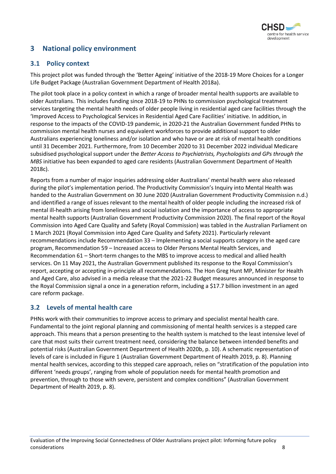

#### <span id="page-14-0"></span>**3 National policy environment**

#### <span id="page-14-1"></span>**3.1 Policy context**

This project pilot was funded through the 'Better Ageing' initiative of the 2018-19 More Choices for a Longer Life Budget Package (Australian Government Department of Health 2018a).

The pilot took place in a policy context in which a range of broader mental health supports are available to older Australians. This includes funding since 2018-19 to PHNs to commission psychological treatment services targeting the mental health needs of older people living in residential aged care facilities through the 'Improved Access to Psychological Services in Residential Aged Care Facilities' initiative. In addition, in response to the impacts of the COVID-19 pandemic, in 2020-21 the Australian Government funded PHNs to commission mental health nurses and equivalent workforces to provide additional support to older Australians experiencing loneliness and/or isolation and who have or are at risk of mental health conditions until 31 December 2021. Furthermore, from 10 December 2020 to 31 December 2022 individual Medicare subsidised psychological support under the *Better Access to Psychiatrists, Psychologists and GPs through the MBS* initiative has been expanded to aged care residents (Australian Government Department of Health 2018c).

Reports from a number of major inquiries addressing older Australians' mental health were also released during the pilot's implementation period. The Productivity Commission's Inquiry into Mental Health was handed to the Australian Government on 30 June 2020 (Australian Government Productivity Commission n.d.) and identified a range of issues relevant to the mental health of older people including the increased risk of mental ill-health arising from loneliness and social isolation and the importance of access to appropriate mental health supports (Australian Government Productivity Commission 2020). The final report of the Royal Commission into Aged Care Quality and Safety (Royal Commission) was tabled in the Australian Parliament on 1 March 2021 (Royal Commission into Aged Care Quality and Safety 2021). Particularly relevant recommendations include Recommendation 33 – Implementing a social supports category in the aged care program, Recommendation 59 – Increased access to Older Persons Mental Health Services, and Recommendation 61 – Short-term changes to the MBS to improve access to medical and allied health services. On 11 May 2021, the Australian Government published its response to the Royal Commission's report, accepting or accepting in-principle all recommendations. The Hon Greg Hunt MP, Minister for Health and Aged Care, also advised in a media release that the 2021-22 Budget measures announced in response to the Royal Commission signal a once in a generation reform, including a \$17.7 billion investment in an aged care reform package.

#### <span id="page-14-2"></span>**3.2 Levels of mental health care**

PHNs work with their communities to improve access to primary and specialist mental health care. Fundamental to the joint regional planning and commissioning of mental health services is a stepped care approach. This means that a person presenting to the health system is matched to the least intensive level of care that most suits their current treatment need, considering the balance between intended benefits and potential risks (Australian Government Department of Health 2020b, p. 10). A schematic representation of levels of care is included in [Figure 1](#page-15-1) (Australian Government Department of Health 2019, p. 8). Planning mental health services, according to this stepped care approach, relies on "stratification of the population into different 'needs groups', ranging from whole of population needs for mental health promotion and prevention, through to those with severe, persistent and complex conditions" (Australian Government Department of Health 2019, p. 8).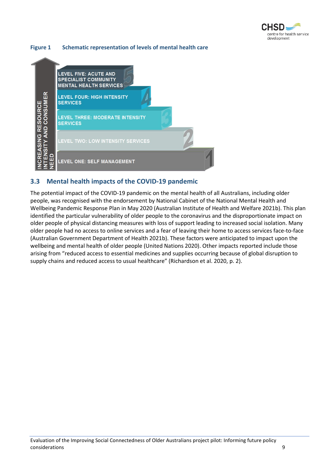

#### <span id="page-15-1"></span>**Figure 1 Schematic representation of levels of mental health care**



#### <span id="page-15-0"></span>**3.3 Mental health impacts of the COVID-19 pandemic**

The potential impact of the COVID-19 pandemic on the mental health of all Australians, including older people, was recognised with the endorsement by National Cabinet of the National Mental Health and Wellbeing Pandemic Response Plan in May 2020 (Australian Institute of Health and Welfare 2021b). This plan identified the particular vulnerability of older people to the coronavirus and the disproportionate impact on older people of physical distancing measures with loss of support leading to increased social isolation. Many older people had no access to online services and a fear of leaving their home to access services face-to-face (Australian Government Department of Health 2021b). These factors were anticipated to impact upon the wellbeing and mental health of older people (United Nations 2020). Other impacts reported include those arising from "reduced access to essential medicines and supplies occurring because of global disruption to supply chains and reduced access to usual healthcare" (Richardson et al. 2020, p. 2).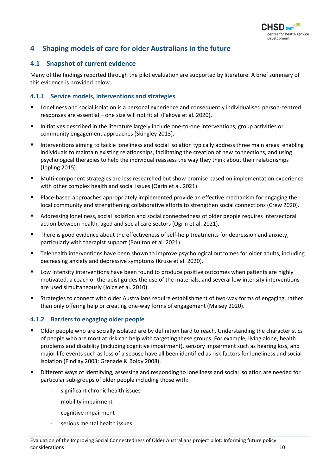

#### <span id="page-16-0"></span>**4 Shaping models of care for older Australians in the future**

#### <span id="page-16-1"></span>**4.1 Snapshot of current evidence**

Many of the findings reported through the pilot evaluation are supported by literature. A brief summary of this evidence is provided below.

#### **4.1.1 Service models, interventions and strategies**

- Loneliness and social isolation is a personal experience and consequently individualised person-centred responses are essential – one size will not fit all (Fakoya et al. 2020).
- Initiatives described in the literature largely include one-to-one interventions, group activities or community engagement approaches (Skingley 2013).
- Interventions aiming to tackle loneliness and social isolation typically address three main areas: enabling individuals to maintain existing relationships, facilitating the creation of new connections, and using psychological therapies to help the individual reassess the way they think about their relationships (Jopling 2015).
- Multi-component strategies are less researched but show promise based on implementation experience with other complex health and social issues (Ogrin et al. 2021).
- Place-based approaches appropriately implemented provide an effective mechanism for engaging the local community and strengthening collaborative efforts to strengthen social connections (Crew 2020).
- Addressing loneliness, social isolation and social connectedness of older people requires intersectoral action between health, aged and social care sectors (Ogrin et al. 2021).
- **There is good evidence about the effectiveness of self-help treatments for depression and anxiety,** particularly with therapist support (Boulton et al. 2021).
- Telehealth interventions have been shown to improve psychological outcomes for older adults, including decreasing anxiety and depressive symptoms (Kruse et al. 2020).
- Low intensity interventions have been found to produce positive outcomes when patients are highly motivated, a coach or therapist guides the use of the materials, and several low intensity interventions are used simultaneously (Joice et al. 2010).
- Strategies to connect with older Australians require establishment of two-way forms of engaging, rather than only offering help or creating one-way forms of engagement (Maisey 2020).

#### **4.1.2 Barriers to engaging older people**

- Older people who are socially isolated are by definition hard to reach. Understanding the characteristics of people who are most at risk can help with targeting these groups. For example, living alone, health problems and disability (including cognitive impairment), sensory impairment such as hearing loss, and major life events such as loss of a spouse have all been identified as risk factors for loneliness and social isolation (Findlay 2003; Grenade & Boldy 2008).
- Different ways of identifying, assessing and responding to loneliness and social isolation are needed for particular sub-groups of older people including those with:
	- significant chronic health issues
	- mobility impairment
	- cognitive impairment
	- serious mental health issues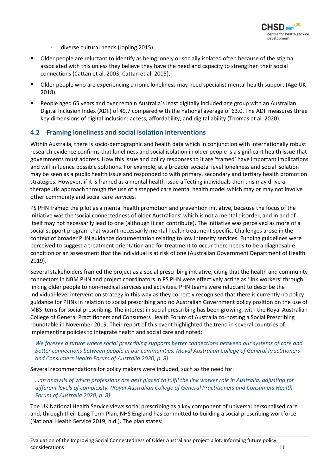

- diverse cultural needs (Jopling 2015).
- Older people are reluctant to identify as being lonely or socially isolated often because of the stigma associated with this unless they believe they have the need and capacity to strengthen their social connections (Cattan et al. 2003; Cattan et al. 2005).
- Older people who are experiencing chronic loneliness may need specialist mental health support (Age UK 2018).
- People aged 65 years and over remain Australia's least digitally included age group with an Australian Digital Inclusion Index (ADII) of 49.7 compared with the national average of 63.0. The ADII measures three key dimensions of digital inclusion: access, affordability, and digital ability (Thomas et al. 2020).

#### <span id="page-17-0"></span>**4.2 Framing loneliness and social isolation interventions**

Within Australia, there is socio-demographic and health data which in conjunction with internationally robust research evidence confirms that loneliness and social isolation in older people is a significant health issue that governments must address. How this issue and policy responses to it are 'framed' have important implications and will influence possible solutions. For example, at a broader societal level loneliness and social isolation may be seen as a public health issue and responded to with primary, secondary and tertiary health promotion strategies. However, if it is framed as a mental health issue affecting individuals then this may drive a therapeutic approach through the use of a stepped care mental health model which may or may not involve other community and social care services.

PS PHN framed the pilot as a mental health promotion and prevention initiative, because the focus of the initiative was the 'social connectedness of older Australians' which is not a mental disorder, and in and of itself may not necessarily lead to one (although it can contribute). The initiative was perceived as more of a social support program that wasn't necessarily mental health treatment specific. Challenges arose in the context of broader PHN guidance documentation relating to low intensity services. Funding guidelines were perceived to suggest a treatment orientation and for treatment to occur there needs to be a diagnosable condition or an assessment that the individual is at risk of one (Australian Government Department of Health 2019).

Several stakeholders framed the project as a social prescribing initiative, citing that the health and community connectors in NBM PHN and project coordinators in PS PHN were effectively acting as 'link workers' through linking older people to non-medical services and activities. PHN teams were reluctant to describe the individual-level intervention strategy in this way as they correctly recognised that there is currently no policy guidance for PHNs in relation to social prescribing and no Australian Government policy position on the use of MBS items for social prescribing. The interest in social prescribing has been growing, with the Royal Australian College of General Practitioners and Consumers Health Forum of Australia co-hosting a Social Prescribing roundtable in November 2019. Their report of this event highlighted the trend in several countries of implementing policies to integrate health and social care and noted:

#### *We foresee a future where social prescribing supports better connections between our systems of care and better connections between people in our communities. (Royal Australian College of General Practitioners and Consumers Health Forum of Australia 2020, p. 8)*

Several recommendations for policy makers were included, such as the need for:

*…an analysis of which professions are best placed to fulfil the link worker role in Australia, adjusting for different levels of complexity. (Royal Australian College of General Practitioners and Consumers Health Forum of Australia 2020, p. 8)*

The UK National Health Service views social prescribing as a key component of universal personalised care and, through their Long Term Plan, NHS England has committed to building a social prescribing workforce (National Health Service 2019, n.d.). The plan states: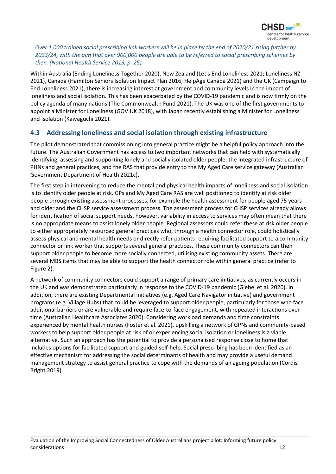

#### *Over 1,000 trained social prescribing link workers will be in place by the end of 2020/21 rising further by 2023/24, with the aim that over 900,000 people are able to be referred to social prescribing schemes by then. (National Health Service 2019, p. 25)*

Within Australia (Ending Loneliness Together 2020), New Zealand (Let's End Loneliness 2021; Loneliness NZ 2021), Canada (Hamilton Seniors Isolation Impact Plan 2016; HelpAge Canada 2021) and the UK (Campaign to End Loneliness 2021), there is increasing interest at government and community levels in the impact of loneliness and social isolation. This has been exacerbated by the COVID-19 pandemic and is now firmly on the policy agenda of many nations (The Commonwealth Fund 2021). The UK was one of the first governments to appoint a Minister for Loneliness (GOV.UK 2018), with Japan recently establishing a Minister for Loneliness and Isolation (Kawaguchi 2021).

#### <span id="page-18-0"></span>**4.3 Addressing loneliness and social isolation through existing infrastructure**

The pilot demonstrated that commissioning into general practice might be a helpful policy approach into the future. The Australian Government has access to two important networks that can help with systematically identifying, assessing and supporting lonely and socially isolated older people: the integrated infrastructure of PHNs and general practices, and the RAS that provide entry to the My Aged Care service gateway (Australian Government Department of Health 2021c).

The first step in intervening to reduce the mental and physical health impacts of loneliness and social isolation is to identify older people at risk. GPs and My Aged Care RAS are well positioned to identify at risk older people through existing assessment processes, for example the health assessment for people aged 75 years and older and the CHSP service assessment process. The assessment process for CHSP services already allows for identification of social support needs, however, variability in access to services may often mean that there is no appropriate means to assist lonely older people. Regional assessors could refer these at risk older people to either appropriately resourced general practices who, through a health connector role, could holistically assess physical and mental health needs or directly refer patients requiring facilitated support to a community connector or link worker that supports several general practices. These community connectors can then support older people to become more socially connected, utilising existing community assets. There are several MBS items that may be able to support the health connector role within general practice (refer to [Figure 2\)](#page-19-1).

A network of community connectors could support a range of primary care initiatives, as currently occurs in the UK and was demonstrated particularly in response to the COVID-19 pandemic (Giebel et al. 2020). In addition, there are existing Departmental initiatives (e.g. Aged Care Navigator initiative) and government programs (e.g. Village Hubs) that could be leveraged to support older people, particularly for those who face additional barriers or are vulnerable and require face-to-face engagement, with repeated interactions over time (Australian Healthcare Associates 2020). Considering workload demands and time constraints experienced by mental health nurses (Foster et al. 2021), upskilling a network of GPNs and community-based workers to help support older people at risk of or experiencing social isolation or loneliness is a viable alternative. Such an approach has the potential to provide a personalised response close to home that includes options for facilitated support and guided self-help. Social prescribing has been identified as an effective mechanism for addressing the social determinants of health and may provide a useful demand management strategy to assist general practice to cope with the demands of an ageing population (Cordis Bright 2019).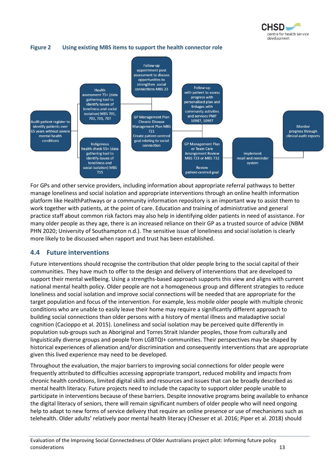

#### <span id="page-19-1"></span>**Figure 2 Using existing MBS items to support the health connector role**



For GPs and other service providers, including information about appropriate referral pathways to better manage loneliness and social isolation and appropriate interventions through an online health information platform like HealthPathways or a community information repository is an important way to assist them to work together with patients, at the point of care. Education and training of administrative and general practice staff about common risk factors may also help in identifying older patients in need of assistance. For many older people as they age, there is an increased reliance on their GP as a trusted source of advice (NBM PHN 2020; University of Southampton n.d.). The sensitive issue of loneliness and social isolation is clearly more likely to be discussed when rapport and trust has been established.

#### <span id="page-19-0"></span>**4.4 Future interventions**

Future interventions should recognise the contribution that older people bring to the social capital of their communities. They have much to offer to the design and delivery of interventions that are developed to support their mental wellbeing. Using a strengths-based approach supports this view and aligns with current national mental health policy. Older people are not a homogeneous group and different strategies to reduce loneliness and social isolation and improve social connections will be needed that are appropriate for the target population and focus of the intervention. For example, less mobile older people with multiple chronic conditions who are unable to easily leave their home may require a significantly different approach to building social connections than older persons with a history of mental illness and maladaptive social cognition (Cacioppo et al. 2015). Loneliness and social isolation may be perceived quite differently in population sub-groups such as Aboriginal and Torres Strait Islander peoples, those from culturally and linguistically diverse groups and people from LGBTQI+ communities. Their perspectives may be shaped by historical experiences of alienation and/or discrimination and consequently interventions that are appropriate given this lived experience may need to be developed.

Throughout the evaluation, the major barriers to improving social connections for older people were frequently attributed to difficulties accessing appropriate transport, reduced mobility and impacts from chronic health conditions, limited digital skills and resources and issues that can be broadly described as mental health literacy. Future projects need to include the capacity to support older people unable to participate in interventions because of these barriers. Despite innovative programs being available to enhance the digital literacy of seniors, there will remain significant numbers of older people who will need ongoing help to adapt to new forms of service delivery that require an online presence or use of mechanisms such as telehealth. Older adults' relatively poor mental health literacy (Chesser et al. 2016; Piper et al. 2018) should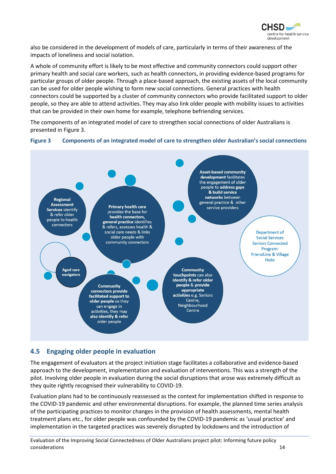

also be considered in the development of models of care, particularly in terms of their awareness of the impacts of loneliness and social isolation.

A whole of community effort is likely to be most effective and community connectors could support other primary health and social care workers, such as health connectors, in providing evidence-based programs for particular groups of older people. Through a place-based approach, the existing assets of the local community can be used for older people wishing to form new social connections. General practices with health connectors could be supported by a cluster of community connectors who provide facilitated support to older people, so they are able to attend activities. They may also link older people with mobility issues to activities that can be provided in their own home for example, telephone befriending services.

The components of an integrated model of care to strengthen social connections of older Australians is presented i[n Figure 3.](#page-20-1)

<span id="page-20-1"></span>



#### <span id="page-20-0"></span>**4.5 Engaging older people in evaluation**

The engagement of evaluators at the project initiation stage facilitates a collaborative and evidence-based approach to the development, implementation and evaluation of interventions. This was a strength of the pilot. Involving older people in evaluation during the social disruptions that arose was extremely difficult as they quite rightly recognised their vulnerability to COVID-19.

Evaluation plans had to be continuously reassessed as the context for implementation shifted in response to the COVID-19 pandemic and other environmental disruptions. For example, the planned time series analysis of the participating practices to monitor changes in the provision of health assessments, mental health treatment plans etc., for older people was confounded by the COVID-19 pandemic as 'usual practice' and implementation in the targeted practices was severely disrupted by lockdowns and the introduction of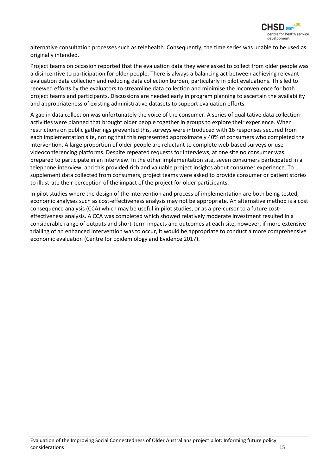

alternative consultation processes such as telehealth. Consequently, the time series was unable to be used as originally intended.

Project teams on occasion reported that the evaluation data they were asked to collect from older people was a disincentive to participation for older people. There is always a balancing act between achieving relevant evaluation data collection and reducing data collection burden, particularly in pilot evaluations. This led to renewed efforts by the evaluators to streamline data collection and minimise the inconvenience for both project teams and participants. Discussions are needed early in program planning to ascertain the availability and appropriateness of existing administrative datasets to support evaluation efforts.

A gap in data collection was unfortunately the voice of the consumer. A series of qualitative data collection activities were planned that brought older people together in groups to explore their experience. When restrictions on public gatherings prevented this, surveys were introduced with 16 responses secured from each implementation site, noting that this represented approximately 40% of consumers who completed the intervention. A large proportion of older people are reluctant to complete web-based surveys or use videoconferencing platforms. Despite repeated requests for interviews, at one site no consumer was prepared to participate in an interview. In the other implementation site, seven consumers participated in a telephone interview, and this provided rich and valuable project insights about consumer experience. To supplement data collected from consumers, project teams were asked to provide consumer or patient stories to illustrate their perception of the impact of the project for older participants.

In pilot studies where the design of the intervention and process of implementation are both being tested, economic analyses such as cost-effectiveness analysis may not be appropriate. An alternative method is a cost consequence analysis (CCA) which may be useful in pilot studies, or as a pre-cursor to a future costeffectiveness analysis. A CCA was completed which showed relatively moderate investment resulted in a considerable range of outputs and short-term impacts and outcomes at each site, however, if more extensive trialling of an enhanced intervention was to occur, it would be appropriate to conduct a more comprehensive economic evaluation (Centre for Epidemiology and Evidence 2017).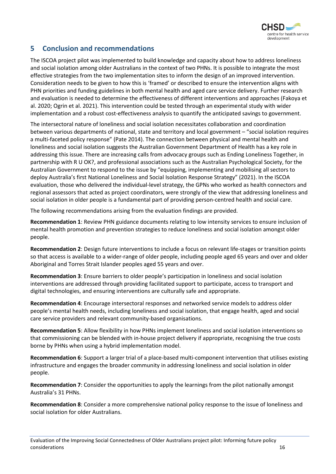

#### <span id="page-22-0"></span>**5 Conclusion and recommendations**

The ISCOA project pilot was implemented to build knowledge and capacity about how to address loneliness and social isolation among older Australians in the context of two PHNs. It is possible to integrate the most effective strategies from the two implementation sites to inform the design of an improved intervention. Consideration needs to be given to how this is 'framed' or described to ensure the intervention aligns with PHN priorities and funding guidelines in both mental health and aged care service delivery. Further research and evaluation is needed to determine the effectiveness of different interventions and approaches (Fakoya et al. 2020; Ogrin et al. 2021). This intervention could be tested through an experimental study with wider implementation and a robust cost-effectiveness analysis to quantify the anticipated savings to government.

The intersectoral nature of loneliness and social isolation necessitates collaboration and coordination between various departments of national, state and territory and local government – "social isolation requires a multi-faceted policy response" (Pate 2014). The connection between physical and mental health and loneliness and social isolation suggests the Australian Government Department of Health has a key role in addressing this issue. There are increasing calls from advocacy groups such as Ending Loneliness Together, in partnership with R U OK?, and professional associations such as the Australian Psychological Society, for the Australian Government to respond to the issue by "equipping, implementing and mobilising all sectors to deploy Australia's first National Loneliness and Social Isolation Response Strategy" (2021). In the ISCOA evaluation, those who delivered the individual-level strategy, the GPNs who worked as health connectors and regional assessors that acted as project coordinators, were strongly of the view that addressing loneliness and social isolation in older people is a fundamental part of providing person-centred health and social care.

The following recommendations arising from the evaluation findings are provided.

**Recommendation 1**: Review PHN guidance documents relating to low intensity services to ensure inclusion of mental health promotion and prevention strategies to reduce loneliness and social isolation amongst older people.

**Recommendation 2**: Design future interventions to include a focus on relevant life-stages or transition points so that access is available to a wider-range of older people, including people aged 65 years and over and older Aboriginal and Torres Strait Islander peoples aged 55 years and over.

**Recommendation 3**: Ensure barriers to older people's participation in loneliness and social isolation interventions are addressed through providing facilitated support to participate, access to transport and digital technologies, and ensuring interventions are culturally safe and appropriate.

**Recommendation 4**: Encourage intersectoral responses and networked service models to address older people's mental health needs, including loneliness and social isolation, that engage health, aged and social care service providers and relevant community-based organisations.

**Recommendation 5**: Allow flexibility in how PHNs implement loneliness and social isolation interventions so that commissioning can be blended with in-house project delivery if appropriate, recognising the true costs borne by PHNs when using a hybrid implementation model.

**Recommendation 6**: Support a larger trial of a place-based multi-component intervention that utilises existing infrastructure and engages the broader community in addressing loneliness and social isolation in older people.

**Recommendation 7**: Consider the opportunities to apply the learnings from the pilot nationally amongst Australia's 31 PHNs.

**Recommendation 8**: Consider a more comprehensive national policy response to the issue of loneliness and social isolation for older Australians.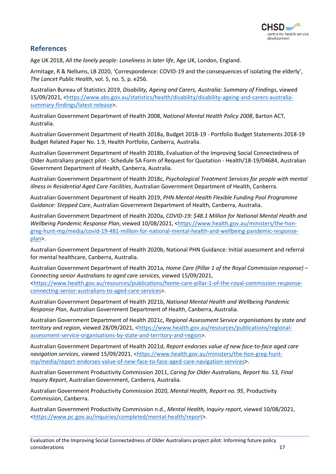

#### <span id="page-23-0"></span>**References**

Age UK 2018, *All the lonely people: Loneliness in later life*, Age UK, London, England.

Armitage, R & Nellums, LB 2020, 'Correspondence: COVID-19 and the consequences of isolating the elderly', *The Lancet Public Health*, vol. 5, no. 5, p. e256.

Australian Bureau of Statistics 2019, *Disability, Ageing and Carers, Australia: Summary of Findings*, viewed 15/09/2021, [<https://www.abs.gov.au/statistics/health/disability/disability-ageing-and-carers-australia](https://www.abs.gov.au/statistics/health/disability/disability-ageing-and-carers-australia-summary-findings/latest-release)[summary-findings/latest-release>](https://www.abs.gov.au/statistics/health/disability/disability-ageing-and-carers-australia-summary-findings/latest-release).

Australian Government Department of Health 2008, *National Mental Health Policy 2008*, Barton ACT, Australia.

Australian Government Department of Health 2018a, Budget 2018-19 - Portfolio Budget Statements 2018-19 Budget Related Paper No. 1.9, Health Portfolio, Canberra, Australia.

Australian Government Department of Health 2018b, Evaluation of the Improving Social Connectedness of Older Australians project pilot - Schedule 5A Form of Request for Quotation - Health/18-19/04684, Australian Government Department of Health, Canberra, Australia.

Australian Government Department of Health 2018c, *Psychological Treatment Services for people with mental illness in Residential Aged Care Facilities*, Australian Government Department of Health, Canberra.

Australian Government Department of Health 2019, *PHN Mental Health Flexible Funding Pool Programme Guidance: Stepped Care*, Australian Government Department of Health, Canberra, Australia.

Australian Government Department of Health 2020a, *COVID-19: \$48.1 Million for National Mental Health and Wellbeing Pandemic Response Plan*, viewed 10/08/2021, [<https://www.health.gov.au/ministers/the-hon](https://www.health.gov.au/ministers/the-hon-greg-hunt-mp/media/covid-19-481-million-for-national-mental-health-and-wellbeing-pandemic-response-plan)[greg-hunt-mp/media/covid-19-481-million-for-national-mental-health-and-wellbeing-pandemic-response](https://www.health.gov.au/ministers/the-hon-greg-hunt-mp/media/covid-19-481-million-for-national-mental-health-and-wellbeing-pandemic-response-plan)[plan>](https://www.health.gov.au/ministers/the-hon-greg-hunt-mp/media/covid-19-481-million-for-national-mental-health-and-wellbeing-pandemic-response-plan).

Australian Government Department of Health 2020b, National PHN Guidance: Initial assessment and referral for mental healthcare, Canberra, Australia.

Australian Government Department of Health 2021a, *Home Care (Pillar 1 of the Royal Commission response) – Connecting senior Australians to aged care services*, viewed 15/09/2021, [<https://www.health.gov.au/resources/publications/home-care-pillar-1-of-the-royal-commission-response](https://www.health.gov.au/resources/publications/home-care-pillar-1-of-the-royal-commission-response-connecting-senior-australians-to-aged-care-services)[connecting-senior-australians-to-aged-care-services>](https://www.health.gov.au/resources/publications/home-care-pillar-1-of-the-royal-commission-response-connecting-senior-australians-to-aged-care-services).

Australian Government Department of Health 2021b, *National Mental Health and Wellbeing Pandemic Response Plan*, Australian Government Department of Health, Canberra, Australia.

Australian Government Department of Health 2021c, *Regional Assessment Service organisations by state and territory and region*, viewed 28/09/2021, [<https://www.health.gov.au/resources/publications/regional](https://www.health.gov.au/resources/publications/regional-assessment-service-organisations-by-state-and-territory-and-region)[assessment-service-organisations-by-state-and-territory-and-region>](https://www.health.gov.au/resources/publications/regional-assessment-service-organisations-by-state-and-territory-and-region).

Australian Government Department of Health 2021d, *Report endorses value of new face-to-face aged care navigation services*, viewed 15/09/2021, [<https://www.health.gov.au/ministers/the-hon-greg-hunt](https://www.health.gov.au/ministers/the-hon-greg-hunt-mp/media/report-endorses-value-of-new-face-to-face-aged-care-navigation-services)[mp/media/report-endorses-value-of-new-face-to-face-aged-care-navigation-services>](https://www.health.gov.au/ministers/the-hon-greg-hunt-mp/media/report-endorses-value-of-new-face-to-face-aged-care-navigation-services).

Australian Government Productivity Commission 2011, *Caring for Older Australians, Report No. 53, Final Inquiry Report*, Australian Government, Canberra, Australia.

Australian Government Productivity Commission 2020, *Mental Health, Report no. 95*, Productivity Commission, Canberra.

Australian Government Productivity Commission n.d., *Mental Health, Inquiry report*, viewed 10/08/2021, [<https://www.pc.gov.au/inquiries/completed/mental-health/report>](https://www.pc.gov.au/inquiries/completed/mental-health/report).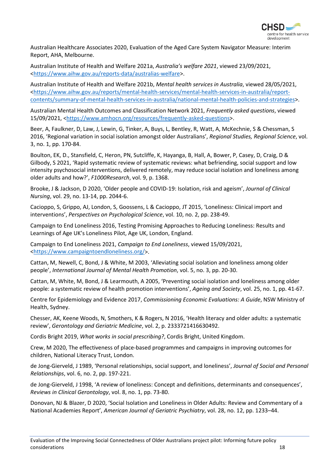

Australian Healthcare Associates 2020, Evaluation of the Aged Care System Navigator Measure: Interim Report, AHA, Melbourne.

Australian Institute of Health and Welfare 2021a, *Australia's welfare 2021*, viewed 23/09/2021, [<https://www.aihw.gov.au/reports-data/australias-welfare>](https://www.aihw.gov.au/reports-data/australias-welfare).

Australian Institute of Health and Welfare 2021b, *Mental health services in Australia*, viewed 28/05/2021, [<https://www.aihw.gov.au/reports/mental-health-services/mental-health-services-in-australia/report](https://www.aihw.gov.au/reports/mental-health-services/mental-health-services-in-australia/report-contents/summary-of-mental-health-services-in-australia/national-mental-health-policies-and-strategies)[contents/summary-of-mental-health-services-in-australia/national-mental-health-policies-and-strategies>](https://www.aihw.gov.au/reports/mental-health-services/mental-health-services-in-australia/report-contents/summary-of-mental-health-services-in-australia/national-mental-health-policies-and-strategies).

Australian Mental Health Outcomes and Classification Network 2021, *Frequently asked questions*, viewed 15/09/2021, [<https://www.amhocn.org/resources/frequently-asked-questions>](https://www.amhocn.org/resources/frequently-asked-questions).

Beer, A, Faulkner, D, Law, J, Lewin, G, Tinker, A, Buys, L, Bentley, R, Watt, A, McKechnie, S & Chessman, S 2016, 'Regional variation in social isolation amongst older Australians', *Regional Studies, Regional Science*, vol. 3, no. 1, pp. 170-84.

Boulton, EK, D., Stansfield, C, Heron, PN, Sutcliffe, K, Hayanga, B, Hall, A, Bower, P, Casey, D, Craig, D & Gilbody, S 2021, 'Rapid systematic review of systematic reviews: what befriending, social support and low intensity psychosocial interventions, delivered remotely, may reduce social isolation and loneliness among older adults and how?', *F1000Research*, vol. 9, p. 1368.

Brooke, J & Jackson, D 2020, 'Older people and COVID-19: Isolation, risk and ageism', *Journal of Clinical Nursing*, vol. 29, no. 13-14, pp. 2044-6.

Cacioppo, S, Grippo, AJ, London, S, Goossens, L & Cacioppo, JT 2015, 'Loneliness: Clinical import and interventions', *Perspectives on Psychological Science*, vol. 10, no. 2, pp. 238-49.

Campaign to End Loneliness 2016, Testing Promising Approaches to Reducing Loneliness: Results and Learnings of Age UK's Loneliness Pilot, Age UK, London, England.

Campaign to End Loneliness 2021, *Campaign to End Loneliness*, viewed 15/09/2021, [<https://www.campaigntoendloneliness.org/>](https://www.campaigntoendloneliness.org/).

Cattan, M, Newell, C, Bond, J & White, M 2003, 'Alleviating social isolation and loneliness among older people', *International Journal of Mental Health Promotion*, vol. 5, no. 3, pp. 20-30.

Cattan, M, White, M, Bond, J & Learmouth, A 2005, 'Preventing social isolation and loneliness among older people: a systematic review of health promotion interventions', *Ageing and Society*, vol. 25, no. 1, pp. 41-67.

Centre for Epidemiology and Evidence 2017, *Commissioning Economic Evaluations: A Guide*, NSW Ministry of Health, Sydney.

Chesser, AK, Keene Woods, N, Smothers, K & Rogers, N 2016, 'Health literacy and older adults: a systematic review', *Gerontology and Geriatric Medicine*, vol. 2, p. 2333721416630492.

Cordis Bright 2019, *What works in social prescribing?*, Cordis Bright, United Kingdom.

Crew, M 2020, The effectiveness of place-based programmes and campaigns in improving outcomes for children, National Literacy Trust, London.

de Jong-Gierveld, J 1989, 'Personal relationships, social support, and loneliness', *Journal of Social and Personal Relationships*, vol. 6, no. 2, pp. 197-221.

de Jong-Gierveld, J 1998, 'A review of loneliness: Concept and definitions, determinants and consequences', *Reviews in Clinical Gerontology*, vol. 8, no. 1, pp. 73-80.

Donovan, NJ & Blazer, D 2020, 'Social Isolation and Loneliness in Older Adults: Review and Commentary of a National Academies Report', *American Journal of Geriatric Psychiatry*, vol. 28, no. 12, pp. 1233–44.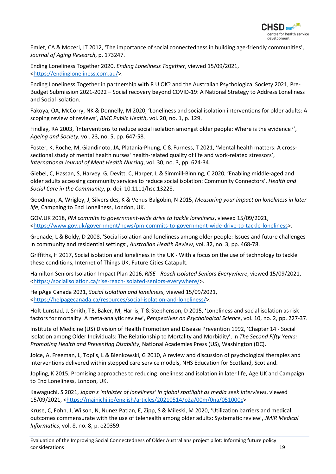

Emlet, CA & Moceri, JT 2012, 'The importance of social connectedness in building age-friendly communities', *Journal of Aging Research*, p. 173247.

Ending Loneliness Together 2020, *Ending Loneliness Together*, viewed 15/09/2021, [<https://endingloneliness.com.au/>](https://endingloneliness.com.au/).

Ending Loneliness Together in partnership with R U OK? and the Australian Psychological Society 2021, Pre-Budget Submission 2021-2022 – Social recovery beyond COVID-19: A National Strategy to Address Loneliness and Social isolation.

Fakoya, OA, McCorry, NK & Donnelly, M 2020, 'Loneliness and social isolation interventions for older adults: A scoping review of reviews', *BMC Public Health*, vol. 20, no. 1, p. 129.

Findlay, RA 2003, 'Interventions to reduce social isolation amongst older people: Where is the evidence?', *Ageing and Society*, vol. 23, no. 5, pp. 647-58.

Foster, K, Roche, M, Giandinoto, JA, Platania-Phung, C & Furness, T 2021, 'Mental health matters: A crosssectional study of mental health nurses' health-related quality of life and work-related stressors', *International Journal of Ment Health Nursing*, vol. 30, no. 3, pp. 624-34.

Giebel, C, Hassan, S, Harvey, G, Devitt, C, Harper, L & Simmill-Binning, C 2020, 'Enabling middle-aged and older adults accessing community services to reduce social isolation: Community Connectors', *Health and Social Care in the Community*, p. doi: 10.1111/hsc.13228.

Goodman, A, Wrigley, J, Silversides, K & Venus-Balgobin, N 2015, *Measuring your impact on loneliness in later life*, Campaing to End Loneliness, London, UK.

GOV.UK 2018, *PM commits to government-wide drive to tackle loneliness*, viewed 15/09/2021, [<https://www.gov.uk/government/news/pm-commits-to-government-wide-drive-to-tackle-loneliness>](https://www.gov.uk/government/news/pm-commits-to-government-wide-drive-to-tackle-loneliness).

Grenade, L & Boldy, D 2008, 'Social isolation and loneliness among older people: Issues and future challenges in community and residential settings', *Australian Health Review*, vol. 32, no. 3, pp. 468-78.

Griffiths, H 2017, Social isolation and loneliness in the UK - With a focus on the use of technology to tackle these conditions, Internet of Things UK, Future Cities Catapult.

Hamilton Seniors Isolation Impact Plan 2016, *RISE - Reach Isolated Seniors Everywhere*, viewed 15/09/2021, [<https://socialisolation.ca/rise-reach-isolated-seniors-everywhere/>](https://socialisolation.ca/rise-reach-isolated-seniors-everywhere/).

HelpAge Canada 2021, *Social isolation and loneliness*, viewed 15/09/2021, [<https://helpagecanada.ca/resources/social-isolation-and-loneliness/>](https://helpagecanada.ca/resources/social-isolation-and-loneliness/).

Holt-Lunstad, J, Smith, TB, Baker, M, Harris, T & Stephenson, D 2015, 'Loneliness and social isolation as risk factors for mortality: A meta-analytic review', *Perspectives on Psychological Science*, vol. 10, no. 2, pp. 227-37.

Institute of Medicine (US) Division of Health Promotion and Disease Prevention 1992, 'Chapter 14 - Social Isolation among Older Individuals: The Relationship to Mortality and Morbidity', in *The Second Fifty Years: Promoting Health and Preventing Disability*, National Academies Press (US), Washington (DC).

Joice, A, Freeman, L, Toplis, L & Bienkowski, G 2010, A review and discussion of psychological therapies and interventions delivered within stepped care service models, NHS Education for Scotland, Scotland.

Jopling, K 2015, Promising approaches to reducing loneliness and isolation in later life, Age UK and Campaign to End Loneliness, London, UK.

Kawaguchi, S 2021, *Japan's 'minister of loneliness' in global spotlight as media seek interviews*, viewed 15/09/2021, [<https://mainichi.jp/english/articles/20210514/p2a/00m/0na/051000c>](https://mainichi.jp/english/articles/20210514/p2a/00m/0na/051000c).

Kruse, C, Fohn, J, Wilson, N, Nunez Patlan, E, Zipp, S & Mileski, M 2020, 'Utilization barriers and medical outcomes commensurate with the use of telehealth among older adults: Systematic review', *JMIR Medical Informatics*, vol. 8, no. 8, p. e20359.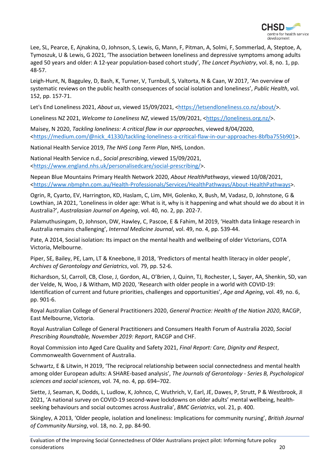

Lee, SL, Pearce, E, Ajnakina, O, Johnson, S, Lewis, G, Mann, F, Pitman, A, Solmi, F, Sommerlad, A, Steptoe, A, Tymoszuk, U & Lewis, G 2021, 'The association between loneliness and depressive symptoms among adults aged 50 years and older: A 12-year population-based cohort study', *The Lancet Psychiatry*, vol. 8, no. 1, pp. 48-57.

Leigh-Hunt, N, Bagguley, D, Bash, K, Turner, V, Turnbull, S, Valtorta, N & Caan, W 2017, 'An overview of systematic reviews on the public health consequences of social isolation and loneliness', *Public Health*, vol. 152, pp. 157-71.

Let's End Loneliness 2021, *About us*, viewed 15/09/2021, [<https://letsendloneliness.co.nz/about/>](https://letsendloneliness.co.nz/about/).

Loneliness NZ 2021, *Welcome to Loneliness NZ*, viewed 15/09/2021, [<https://loneliness.org.nz/>](https://loneliness.org.nz/).

Maisey, N 2020, *Tackling loneliness: A critical flaw in our approaches*, viewed 8/04/2020, [<https://medium.com/@nick\\_41330/tackling-loneliness-a-critical-flaw-in-our-approaches-8bfba755b901>](https://medium.com/@nick_41330/tackling-loneliness-a-critical-flaw-in-our-approaches-8bfba755b901).

National Health Service 2019, *The NHS Long Term Plan*, NHS, London.

National Health Service n.d., *Social prescribing*, viewed 15/09/2021, [<https://www.england.nhs.uk/personalisedcare/social-prescribing/>](https://www.england.nhs.uk/personalisedcare/social-prescribing/).

Nepean Blue Mountains Primary Health Network 2020, *About HealthPathways*, viewed 10/08/2021, [<https://www.nbmphn.com.au/Health-Professionals/Services/HealthPathways/About-HealthPathways>](https://www.nbmphn.com.au/Health-Professionals/Services/HealthPathways/About-HealthPathways).

Ogrin, R, Cyarto, EV, Harrington, KD, Haslam, C, Lim, MH, Golenko, X, Bush, M, Vadasz, D, Johnstone, G & Lowthian, JA 2021, 'Loneliness in older age: What is it, why is it happening and what should we do about it in Australia?', *Australasian Journal on Ageing*, vol. 40, no. 2, pp. 202-7.

Palamuthusingam, D, Johnson, DW, Hawley, C, Pascoe, E & Fahim, M 2019, 'Health data linkage research in Australia remains challenging', *Internal Medicine Journal*, vol. 49, no. 4, pp. 539-44.

Pate, A 2014, Social isolation: Its impact on the mental health and wellbeing of older Victorians, COTA Victoria, Melbourne.

Piper, SE, Bailey, PE, Lam, LT & Kneebone, II 2018, 'Predictors of mental health literacy in older people', *Archives of Gerontology and Geriatrics*, vol. 79, pp. 52-6.

Richardson, SJ, Carroll, CB, Close, J, Gordon, AL, O'Brien, J, Quinn, TJ, Rochester, L, Sayer, AA, Shenkin, SD, van der Velde, N, Woo, J & Witham, MD 2020, 'Research with older people in a world with COVID-19: Identification of current and future priorities, challenges and opportunities', *Age and Ageing*, vol. 49, no. 6, pp. 901-6.

Royal Australian College of General Practitioners 2020, *General Practice: Health of the Nation 2020*, RACGP, East Melbourne, Victoria.

Royal Australian College of General Practitioners and Consumers Health Forum of Australia 2020, *Social Prescribing Roundtable, November 2019: Report*, RACGP and CHF.

Royal Commission into Aged Care Quality and Safety 2021, *Final Report: Care, Dignity and Respect*, Commonwealth Government of Australia.

Schwartz, E & Litwin, H 2019, 'The reciprocal relationship between social connectedness and mental health among older European adults: A SHARE-based analysis', *The Journals of Gerontology - Series B, Psychological sciences and social sciences*, vol. 74, no. 4, pp. 694–702.

Siette, J, Seaman, K, Dodds, L, Ludlow, K, Johnco, C, Wuthrich, V, Earl, JE, Dawes, P, Strutt, P & Westbrook, JI 2021, 'A national survey on COVID-19 second-wave lockdowns on older adults' mental wellbeing, healthseeking behaviours and social outcomes across Australia', *BMC Geriatrics*, vol. 21, p. 400.

Skingley, A 2013, 'Older people, isolation and loneliness: Implications for community nursing', *British Journal of Community Nursing*, vol. 18, no. 2, pp. 84-90.